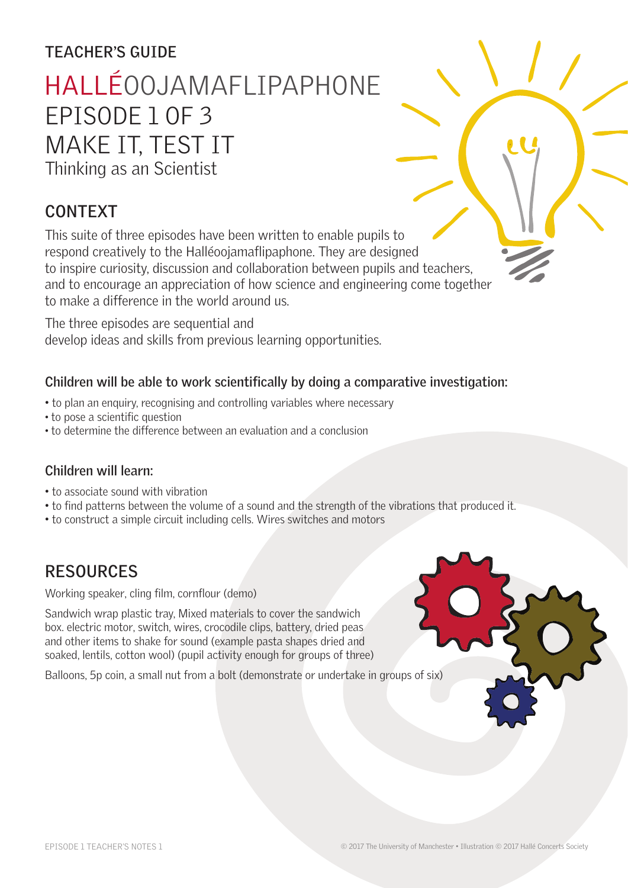## **TEACHER'S GUIDE**

# HALLÉOOJAMAFLIPAPHONE EPISODE 1 OF 3 MAKE IT, TEST IT

Thinking as an Scientist

# **CONTEXT**

This suite of three episodes have been written to enable pupils to respond creatively to the Halléoojamaflipaphone. They are designed to inspire curiosity, discussion and collaboration between pupils and teachers, and to encourage an appreciation of how science and engineering come together to make a difference in the world around us.

The three episodes are sequential and develop ideas and skills from previous learning opportunities.

#### **Children will be able to work scientifically by doing a comparative investigation:**

- to plan an enquiry, recognising and controlling variables where necessary
- to pose a scientific question
- to determine the difference between an evaluation and a conclusion

#### **Children will learn:**

- to associate sound with vibration
- to find patterns between the volume of a sound and the strength of the vibrations that produced it.
- to construct a simple circuit including cells. Wires switches and motors

## **RESOURCES**

Working speaker, cling film, cornflour (demo)

Sandwich wrap plastic tray, Mixed materials to cover the sandwich box. electric motor, switch, wires, crocodile clips, battery, dried peas and other items to shake for sound (example pasta shapes dried and soaked, lentils, cotton wool) (pupil activity enough for groups of three)

Balloons, 5p coin, a small nut from a bolt (demonstrate or undertake in groups of six)

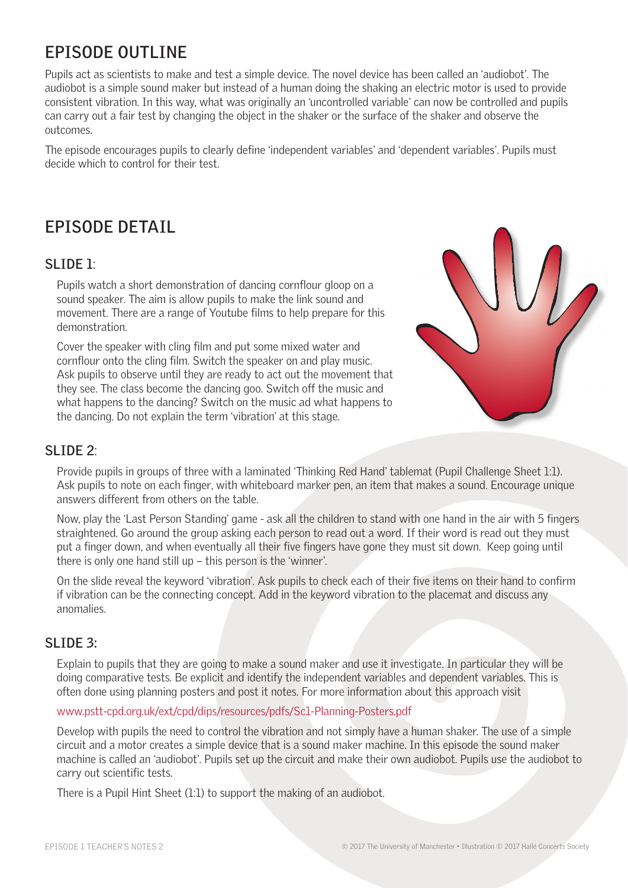# **EPISODE OUTLINE**

Pupils act as scientists to make and test a simple device. The novel device has been called an 'audiobot'. The audiobot is a simple sound maker but instead of a human doing the shaking an electric motor is used to provide consistent vibration. In this way, what was originally an 'uncontrolled variable' can now be controlled and pupils can carry out a fair test by changing the object in the shaker or the surface of the shaker and observe the outcomes.

The episode encourages pupils to clearly define 'independent variables' and 'dependent variables'. Pupils must decide which to control for their test.

# **EPISODE DETAIL**

#### **SLIDE 1**:

Pupils watch a short demonstration of dancing cornflour gloop on a sound speaker. The aim is allow pupils to make the link sound and movement. There are a range of Youtube films to help prepare for this demonstration.

Cover the speaker with cling film and put some mixed water and cornflour onto the cling film. Switch the speaker on and play music. Ask pupils to observe until they are ready to act out the movement that they see. The class become the dancing goo. Switch off the music and what happens to the dancing? Switch on the music ad what happens to the dancing. Do not explain the term 'vibration' at this stage.



#### **SLIDE 2**:

Provide pupils in groups of three with a laminated 'Thinking Red Hand' tablemat (Pupil Challenge Sheet 1:1). Ask pupils to note on each finger, with whiteboard marker pen, an item that makes a sound. Encourage unique answers different from others on the table.

Now, play the 'Last Person Standing' game - ask all the children to stand with one hand in the air with 5 fingers straightened. Go around the group asking each person to read out a word. If their word is read out they must put a finger down, and when eventually all their five fingers have gone they must sit down. Keep going until there is only one hand still up – this person is the 'winner'.

On the slide reveal the keyword 'vibration'. Ask pupils to check each of their five items on their hand to confirm if vibration can be the connecting concept. Add in the keyword vibration to the placemat and discuss any anomalies.

#### **SLIDE 3:**

Explain to pupils that they are going to make a sound maker and use it investigate. In particular they will be doing comparative tests. Be explicit and identify the independent variables and dependent variables. This is often done using planning posters and post it notes. For more information about this approach visit

#### www.pstt-cpd.org.uk/ext/cpd/dips/resources/pdfs/Sc1-Planning-Posters.pdf

Develop with pupils the need to control the vibration and not simply have a human shaker. The use of a simple circuit and a motor creates a simple device that is a sound maker machine. In this episode the sound maker machine is called an 'audiobot'. Pupils set up the circuit and make their own audiobot. Pupils use the audiobot to carry out scientific tests.

There is a Pupil Hint Sheet (1:1) to support the making of an audiobot.